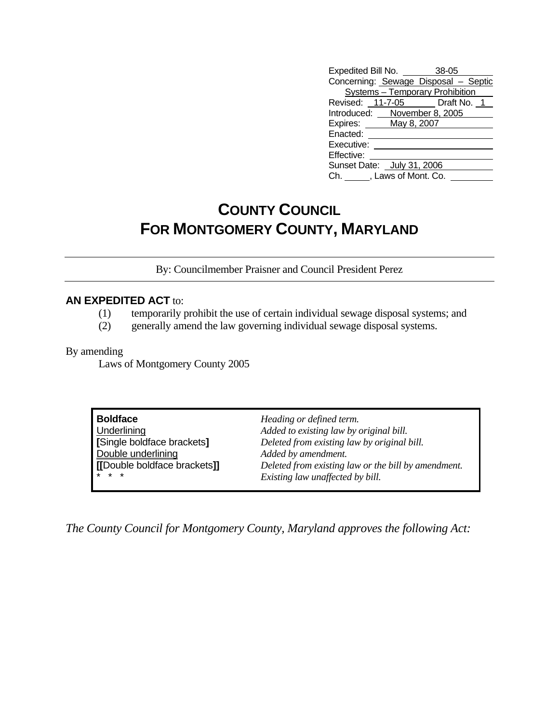| Expedited Bill No. 38-05             |  |
|--------------------------------------|--|
| Concerning: Sewage Disposal - Septic |  |
| Systems - Temporary Prohibition      |  |
| Revised: 11-7-05 Draft No. 1         |  |
| Introduced: November 8, 2005         |  |
| Expires: May 8, 2007                 |  |
| Enacted:                             |  |
| Executive:                           |  |
| Effective:                           |  |
| Sunset Date: July 31, 2006           |  |
| Ch. ______, Laws of Mont. Co.        |  |

## **COUNTY COUNCIL FOR MONTGOMERY COUNTY, MARYLAND**

By: Councilmember Praisner and Council President Perez

## **AN EXPEDITED ACT** to:

- (1) temporarily prohibit the use of certain individual sewage disposal systems; and
- (2) generally amend the law governing individual sewage disposal systems.

## By amending

Laws of Montgomery County 2005

| <b>Boldface</b>                           | Heading or defined term.                                                               |
|-------------------------------------------|----------------------------------------------------------------------------------------|
| Underlining<br>[Single boldface brackets] | Added to existing law by original bill.<br>Deleted from existing law by original bill. |
| Double underlining                        | Added by amendment.                                                                    |
| [[Double boldface brackets]]<br>$* * *$   | Deleted from existing law or the bill by amendment.                                    |
|                                           | Existing law unaffected by bill.                                                       |

*The County Council for Montgomery County, Maryland approves the following Act:*